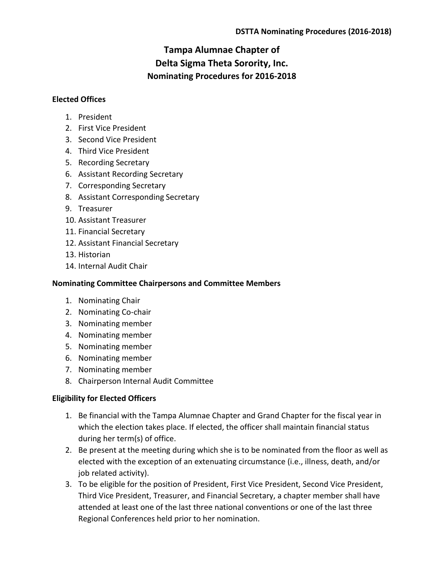# **Tampa Alumnae Chapter of Delta Sigma Theta Sorority, Inc. Nominating Procedures for 2016-2018**

### **Elected Offices**

- 1. President
- 2. First Vice President
- 3. Second Vice President
- 4. Third Vice President
- 5. Recording Secretary
- 6. Assistant Recording Secretary
- 7. Corresponding Secretary
- 8. Assistant Corresponding Secretary
- 9. Treasurer
- 10. Assistant Treasurer
- 11. Financial Secretary
- 12. Assistant Financial Secretary
- 13. Historian
- 14. Internal Audit Chair

## **Nominating Committee Chairpersons and Committee Members**

- 1. Nominating Chair
- 2. Nominating Co-chair
- 3. Nominating member
- 4. Nominating member
- 5. Nominating member
- 6. Nominating member
- 7. Nominating member
- 8. Chairperson Internal Audit Committee

## **Eligibility for Elected Officers**

- 1. Be financial with the Tampa Alumnae Chapter and Grand Chapter for the fiscal year in which the election takes place. If elected, the officer shall maintain financial status during her term(s) of office.
- 2. Be present at the meeting during which she is to be nominated from the floor as well as elected with the exception of an extenuating circumstance (i.e., illness, death, and/or job related activity).
- 3. To be eligible for the position of President, First Vice President, Second Vice President, Third Vice President, Treasurer, and Financial Secretary, a chapter member shall have attended at least one of the last three national conventions or one of the last three Regional Conferences held prior to her nomination.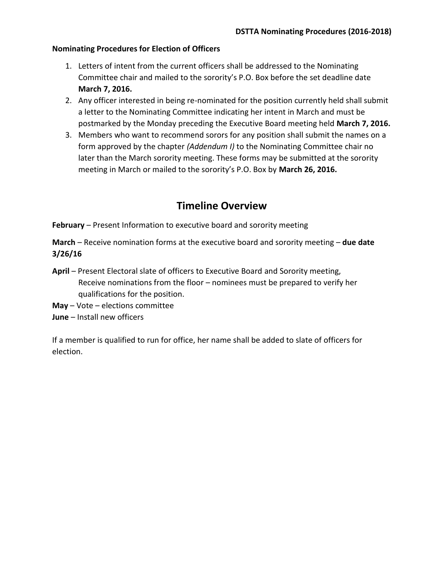#### **Nominating Procedures for Election of Officers**

- 1. Letters of intent from the current officers shall be addressed to the Nominating Committee chair and mailed to the sorority's P.O. Box before the set deadline date **March 7, 2016.**
- 2. Any officer interested in being re-nominated for the position currently held shall submit a letter to the Nominating Committee indicating her intent in March and must be postmarked by the Monday preceding the Executive Board meeting held **March 7, 2016.**
- 3. Members who want to recommend sorors for any position shall submit the names on a form approved by the chapter *(Addendum I)* to the Nominating Committee chair no later than the March sorority meeting. These forms may be submitted at the sorority meeting in March or mailed to the sorority's P.O. Box by **March 26, 2016.**

## **Timeline Overview**

**February** – Present Information to executive board and sorority meeting

**March** – Receive nomination forms at the executive board and sorority meeting – **due date 3/26/16**

- **April** Present Electoral slate of officers to Executive Board and Sorority meeting, Receive nominations from the floor – nominees must be prepared to verify her qualifications for the position.
- **May** Vote elections committee

**June** – Install new officers

If a member is qualified to run for office, her name shall be added to slate of officers for election.